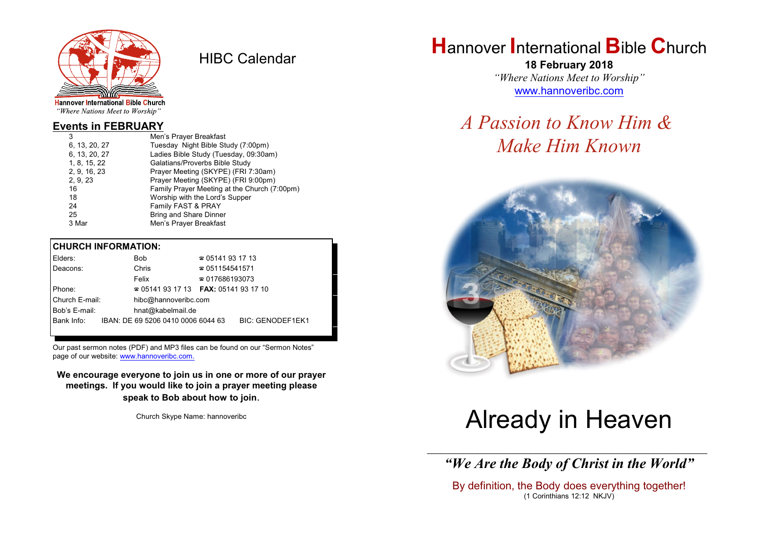

HIBC Calendar

"Where Nations Meet to Worship"

## **Events in FEBRUARY**

| 3             | Men's Prayer Breakfast                       |
|---------------|----------------------------------------------|
| 6, 13, 20, 27 | Tuesday Night Bible Study (7:00pm)           |
| 6, 13, 20, 27 | Ladies Bible Study (Tuesday, 09:30am)        |
| 1, 8, 15, 22  | Galatians/Proverbs Bible Study               |
| 2, 9, 16, 23  | Prayer Meeting (SKYPE) (FRI 7:30am)          |
| 2, 9, 23      | Prayer Meeting (SKYPE) (FRI 9:00pm)          |
| 16            | Family Prayer Meeting at the Church (7:00pm) |
| 18            | Worship with the Lord's Supper               |
| 24            | Family FAST & PRAY                           |
| 25            | <b>Bring and Share Dinner</b>                |
| 3 Mar         | Men's Prayer Breakfast                       |
|               |                                              |

### **CHURCH INFORMATION:**

| Elders:        |                   | Bob                                      | $\approx 05141931713$  |                         |  |
|----------------|-------------------|------------------------------------------|------------------------|-------------------------|--|
| Deacons:       |                   | Chris                                    | $\approx 051154541571$ |                         |  |
|                |                   | Felix                                    | $\approx 017686193073$ |                         |  |
| Phone:         |                   | $\approx 05141931713$ FAX: 0514193 17 10 |                        |                         |  |
| Church E-mail: |                   | hibc@hannoveribc.com                     |                        |                         |  |
| Bob's E-mail:  | hnat@kabelmail.de |                                          |                        |                         |  |
| Bank Info:     |                   | IBAN: DE 69 5206 0410 0006 6044 63       |                        | <b>BIC: GENODEF1EK1</b> |  |
|                |                   |                                          |                        |                         |  |

Our past sermon notes (PDF) and MP3 files can be found on our "Sermon Notes" page of our website: [www.hannoveribc.com.](http://www.hannoveribc.com.)

**We encourage everyone to join us in one or more of our prayer meetings. If you would like to join a prayer meeting please speak to Bob about how to join**.

Church Skype Name: hannoveribc

# **H**annover **I**nternational **B**ible **C**hurch

**18 February 2018** *"Where Nations Meet to Worship"* [www.hannoveribc.com](http://www.hannoveribc.com)

# *A Passion to Know Him & Make Him Known*



# Already in Heaven

\_\_\_\_\_\_\_\_\_\_\_\_\_\_\_\_\_\_\_\_\_\_\_\_\_\_\_\_\_\_\_\_\_\_\_\_\_\_\_\_\_\_\_\_\_\_\_\_\_\_\_\_\_\_\_\_\_\_\_\_\_\_ *"We Are the Body of Christ in the World"*

By definition, the Body does everything together! (1 Corinthians 12:12 NKJV)